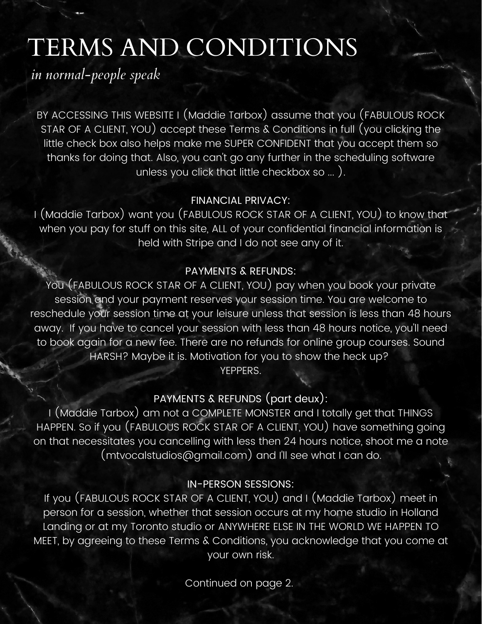# TERMS AND CONDITIONS

*in normal-people speak*

BY ACCESSING THIS WEBSITE I (Maddie Tarbox) assume that you (FABULOUS ROCK STAR OF A CLIENT, YOU) accept these Terms & Conditions in full (you clicking the little check box also helps make me SUPER CONFIDENT that you accept them so thanks for doing that. Also, you can't go any further in the scheduling software unless you click that little checkbox so ... ).

## FINANCIAL PRIVACY:

I (Maddie Tarbox) want you (FABULOUS ROCK STAR OF A CLIENT, YOU) to know that when you pay for stuff on this site, ALL of your confidential financial information is held with Stripe and I do not see any of it.

### PAYMENTS & REFUNDS:

You (FABULOUS ROCK STAR OF A CLIENT, YOU) pay when you book your private session and your payment reserves your session time. You are welcome to reschedule your session time at your leisure unless that session is less than 48 hours away. If you have to cancel your session with less than 48 hours notice, you'll need to book again for a new fee. There are no refunds for online group courses. Sound HARSH? Maybe it is. Motivation for you to show the heck up? YEPPERS.

# PAYMENTS & REFUNDS (part deux):

I (Maddie Tarbox) am not a COMPLETE MONSTER and I totally get that THINGS HAPPEN. So if you (FABULOUS ROCK STAR OF A CLIENT, YOU) have something going on that necessitates you cancelling with less then 24 hours notice, shoot me a note (mtvocalstudios@gmail.com) and I'll see what I can do.

#### IN-PERSON SESSIONS:

If you (FABULOUS ROCK STAR OF A CLIENT, YOU) and I (Maddie Tarbox) meet in person for a session, whether that session occurs at my home studio in Holland Landing or at my Toronto studio or ANYWHERE ELSE IN THE WORLD WE HAPPEN TO MEET, by agreeing to these Terms & Conditions, you acknowledge that you come at your own risk.

Continued on page 2.